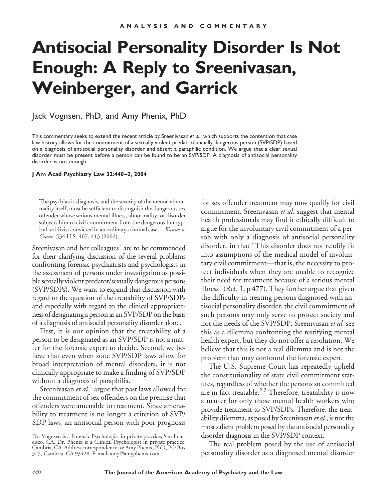## **Antisocial Personality Disorder Is Not Enough: A Reply to Sreenivasan, Weinberger, and Garrick**

Jack Vognsen, PhD, and Amy Phenix, PhD

This commentary seeks to extend the recent article by Sreenivasan *et al.*, which supports the contention that case law history allows for the commitment of a sexually violent predator/sexually dangerous person (SVP/SDP) based on a diagnosis of antisocial personality disorder and absent a paraphilic condition. We argue that a clear sexual disorder must be present before a person can be found to be an SVP/SDP. A diagnosis of antisocial personality disorder is not enough.

**J Am Acad Psychiatry Law 32:440 –2, 2004**

The psychiatric diagnosis, and the severity of the mental abnormality itself, must be sufficient to distinguish the dangerous sex offender whose serious mental illness, abnormality, or disorder subjects him to civil commitment from the dangerous but typical recidivist convicted in an ordinary criminal case.—*Kansas v. Crane*, 534 U.S. 407, 413 (2002)

Sreenivasan and her colleagues<sup>1</sup> are to be commended for their clarifying discussion of the several problems confronting forensic psychiatrists and psychologists in the assessment of persons under investigation as possible sexually violent predator/sexually dangerous persons (SVP/SDPs). We want to expand that discussion with regard to the question of the treatability of SVP/SDPs and especially with regard to the clinical appropriateness of designating a person as an SVP/SDP on the basis of a diagnosis of antisocial personality disorder alone.

First, it is our opinion that the treatability of a person to be designated as an SVP/SDP is not a matter for the forensic expert to decide. Second, we believe that even when state SVP/SDP laws allow for broad interpretation of mental disorders, it is not clinically appropriate to make a finding of SVP/SDP without a diagnosis of paraphilia.

Sreenivasan *et al.*<sup>1</sup> argue that past laws allowed for the commitment of sex offenders on the premise that offenders were amenable to treatment. Since amenability to treatment is no longer a criterion of SVP/ SDP laws, an antisocial person with poor prognosis for sex offender treatment may now qualify for civil commitment. Sreenivasan *et al.* suggest that mental health professionals may find it ethically difficult to argue for the involuntary civil commitment of a person with only a diagnosis of antisocial personality disorder, in that "This disorder does not readily fit into assumptions of the medical model of involuntary civil commitment—that is, the necessity to protect individuals when they are unable to recognize their need for treatment because of a serious mental illness" (Ref. 1, p 477). They further argue that given the difficulty in treating persons diagnosed with antisocial personality disorder, the civil commitment of such persons may only serve to protect society and not the needs of the SVP/SDP. Sreenivasan *et al.* see this as a dilemma confronting the testifying mental health expert, but they do not offer a resolution. We believe that this is not a real dilemma and is not the problem that may confound the forensic expert.

The U.S. Supreme Court has repeatedly upheld the constitutionality of state civil commitment statutes, regardless of whether the persons so committed are in fact treatable.<sup>2,3</sup> Therefore, treatability is now a matter for only those mental health workers who provide treatment to SVP/SDPs. Therefore, the treatability dilemma, as posed by Sreenivasan *et al.*, is not the most salient problem posed by the antisocial personality disorder diagnosis in the SVP/SDP context.

The real problem posed by the use of antisocial personality disorder as a diagnosed mental disorder

Dr. Vognsen is a Forensic Psychologist in private practice, San Francisco, CA. Dr. Phenix is a Clinical Psychologist in private practice, Cambria, CA. Address correspondence to: Amy Phenix, PhD, PO Box 325, Cambria, CA 93428. E-mail: amy@amyphenix.com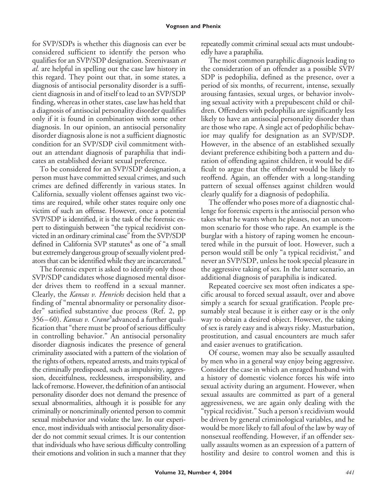## **Vognsen and Phenix**

for SVP/SDPs is whether this diagnosis can ever be considered sufficient to identify the person who qualifies for an SVP/SDP designation. Sreenivasan *et al.* are helpful in spelling out the case law history in this regard. They point out that, in some states, a diagnosis of antisocial personality disorder is a sufficient diagnosis in and of itself to lead to an SVP/SDP finding, whereas in other states, case law has held that a diagnosis of antisocial personality disorder qualifies only if it is found in combination with some other diagnosis. In our opinion, an antisocial personality disorder diagnosis alone is not a sufficient diagnostic condition for an SVP/SDP civil commitment without an attendant diagnosis of paraphilia that indicates an established deviant sexual preference.

To be considered for an SVP/SDP designation, a person must have committed sexual crimes, and such crimes are defined differently in various states. In California, sexually violent offenses against two victims are required, while other states require only one victim of such an offense. However, once a potential SVP/SDP is identified, it is the task of the forensic expert to distinguish between "the typical recidivist convicted in an ordinary criminal case" from the SVP/SDP defined in California SVP statutes $4$  as one of "a small but extremely dangerous group of sexually violent predators that can be identified while they are incarcerated."

The forensic expert is asked to identify only those SVP/SDP candidates whose diagnosed mental disorder drives them to reoffend in a sexual manner. Clearly, the *Kansas v. Henricks* decision held that a finding of "mental abnormality or personality disorder" satisfied substantive due process (Ref. 2, pp 356 – 60). *Kansas v. Crane*<sup>3</sup> advanced a further qualification that "there must be proof of serious difficulty in controlling behavior." An antisocial personality disorder diagnosis indicates the presence of general criminality associated with a pattern of the violation of the rights of others, repeated arrests, and traits typical of the criminally predisposed, such as impulsivity, aggression, deceitfulness, recklessness, irresponsibility, and lack of remorse. However, the definition of an antisocial personality disorder does not demand the presence of sexual abnormalities, although it is possible for any criminally or noncriminally oriented person to commit sexual misbehavior and violate the law. In our experience, most individuals with antisocial personality disorder do not commit sexual crimes. It is our contention that individuals who have serious difficulty controlling their emotions and volition in such a manner that they

repeatedly commit criminal sexual acts must undoubtedly have a paraphilia.

The most common paraphilic diagnosis leading to the consideration of an offender as a possible SVP/ SDP is pedophilia, defined as the presence, over a period of six months, of recurrent, intense, sexually arousing fantasies, sexual urges, or behavior involving sexual activity with a prepubescent child or children. Offenders with pedophilia are significantly less likely to have an antisocial personality disorder than are those who rape. A single act of pedophilic behavior may qualify for designation as an SVP/SDP. However, in the absence of an established sexually deviant preference exhibiting both a pattern and duration of offending against children, it would be difficult to argue that the offender would be likely to reoffend. Again, an offender with a long-standing pattern of sexual offenses against children would clearly qualify for a diagnosis of pedophilia.

The offender who poses more of a diagnostic challenge for forensic experts is the antisocial person who takes what he wants when he pleases, not an uncommon scenario for those who rape. An example is the burglar with a history of raping women he encountered while in the pursuit of loot. However, such a person would still be only "a typical recidivist," and never an SVP/SDP, unless he took special pleasure in the aggressive taking of sex. In the latter scenario, an additional diagnosis of paraphilia is indicated.

Repeated coercive sex most often indicates a specific arousal to forced sexual assault, over and above simply a search for sexual gratification. People presumably steal because it is either easy or is the only way to obtain a desired object. However, the taking of sex is rarely easy and is always risky. Masturbation, prostitution, and casual encounters are much safer and easier avenues to gratification.

Of course, women may also be sexually assaulted by men who in a general way enjoy being aggressive. Consider the case in which an enraged husband with a history of domestic violence forces his wife into sexual activity during an argument. However, when sexual assaults are committed as part of a general aggressiveness, we are again only dealing with the "typical recidivist." Such a person's recidivism would be driven by general criminological variables, and he would be more likely to fall afoul of the law by way of nonsexual reoffending. However, if an offender sexually assaults women as an expression of a pattern of hostility and desire to control women and this is